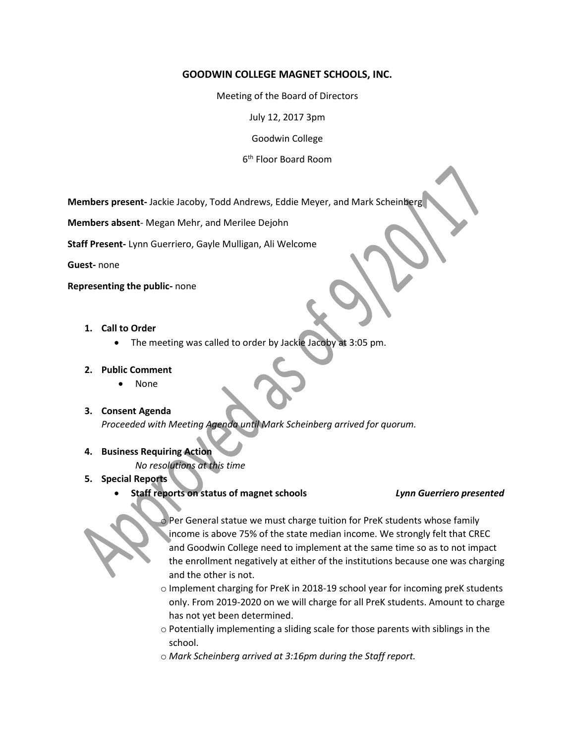## **GOODWIN COLLEGE MAGNET SCHOOLS, INC.**

Meeting of the Board of Directors

July 12, 2017 3pm

Goodwin College

6 th Floor Board Room

**Members present-** Jackie Jacoby, Todd Andrews, Eddie Meyer, and Mark Scheinberg

**Members absent**- Megan Mehr, and Merilee Dejohn

**Staff Present-** Lynn Guerriero, Gayle Mulligan, Ali Welcome

**Guest-** none

**Representing the public-** none

- **1. Call to Order**
	- The meeting was called to order by Jackie Jacoby at 3:05 pm.

### **2. Public Comment**

- None
- **3. Consent Agenda** *Proceeded with Meeting Agenda until Mark Scheinberg arrived for quorum.*

# **4. Business Requiring Action**

*No resolutions at this time* 

- **5. Special Reports**
	- **Staff reports on status of magnet schools** *Lynn Guerriero presented*



o Per General statue we must charge tuition for PreK students whose family income is above 75% of the state median income. We strongly felt that CREC and Goodwin College need to implement at the same time so as to not impact the enrollment negatively at either of the institutions because one was charging and the other is not.

- o Implement charging for PreK in 2018-19 school year for incoming preK students only. From 2019-2020 on we will charge for all PreK students. Amount to charge has not yet been determined.
- o Potentially implementing a sliding scale for those parents with siblings in the school.
- o *Mark Scheinberg arrived at 3:16pm during the Staff report.*